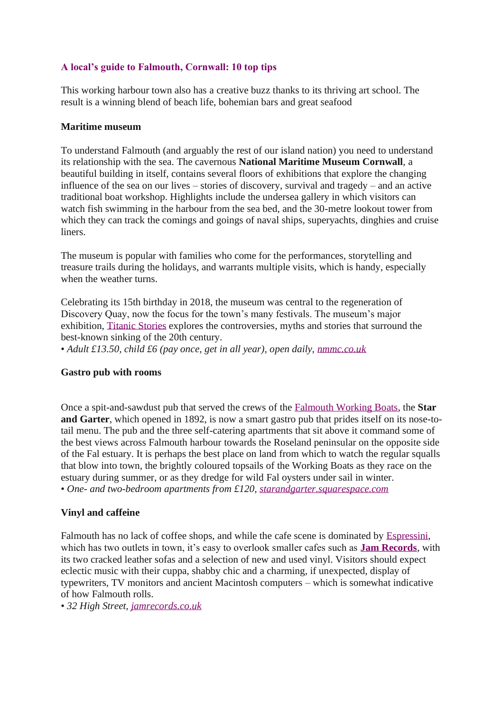# **A local's guide to Falmouth, Cornwall: 10 top tips**

This working harbour town also has a creative buzz thanks to its thriving art school. The result is a winning blend of beach life, bohemian bars and great seafood

#### **Maritime museum**

To understand Falmouth (and arguably the rest of our island nation) you need to understand its relationship with the sea. The cavernous **National Maritime Museum Cornwall**, a beautiful building in itself, contains several floors of exhibitions that explore the changing influence of the sea on our lives – stories of discovery, survival and tragedy – and an active traditional boat workshop. Highlights include the undersea gallery in which visitors can watch fish swimming in the harbour from the sea bed, and the 30-metre lookout tower from which they can track the comings and goings of naval ships, superyachts, dinghies and cruise liners.

The museum is popular with families who come for the performances, storytelling and treasure trails during the holidays, and warrants multiple visits, which is handy, especially when the weather turns.

Celebrating its 15th birthday in 2018, the museum was central to the regeneration of Discovery Quay, now the focus for the town's many festivals. The museum's major exhibition, [Titanic Stories](https://nmmc.co.uk/titanic-stories/) explores the controversies, myths and stories that surround the best-known sinking of the 20th century.

• *Adult £13.50, child £6 (pay once, get in all year), open daily, [nmmc.co.uk](https://nmmc.co.uk/)*

### **Gastro pub with rooms**

Once a spit-and-sawdust pub that served the crews of the [Falmouth Working Boats,](http://fwba.co.uk/) the **Star and Garter**, which opened in 1892, is now a smart gastro pub that prides itself on its nose-totail menu. The pub and the three self-catering apartments that sit above it command some of the best views across Falmouth harbour towards the Roseland peninsular on the opposite side of the Fal estuary. It is perhaps the best place on land from which to watch the regular squalls that blow into town, the brightly coloured topsails of the Working Boats as they race on the estuary during summer, or as they dredge for wild Fal oysters under sail in winter. • *One- and two-bedroom apartments from £120, [starandgarter.squarespace.com](http://starandgarter.squarespace.com/)*

### **Vinyl and caffeine**

Falmouth has no lack of coffee shops, and while the cafe scene is dominated by [Espressini,](https://www.facebook.com/Espressini/) which has two outlets in town, it's easy to overlook smaller cafes such as **[Jam Records](http://www.jamrecords.co.uk/)**, with its two cracked leather sofas and a selection of new and used vinyl. Visitors should expect eclectic music with their cuppa, shabby chic and a charming, if unexpected, display of typewriters, TV monitors and ancient Macintosh computers – which is somewhat indicative of how Falmouth rolls.

• *32 High Street, [jamrecords.co.uk](http://www.jamrecords.co.uk/)*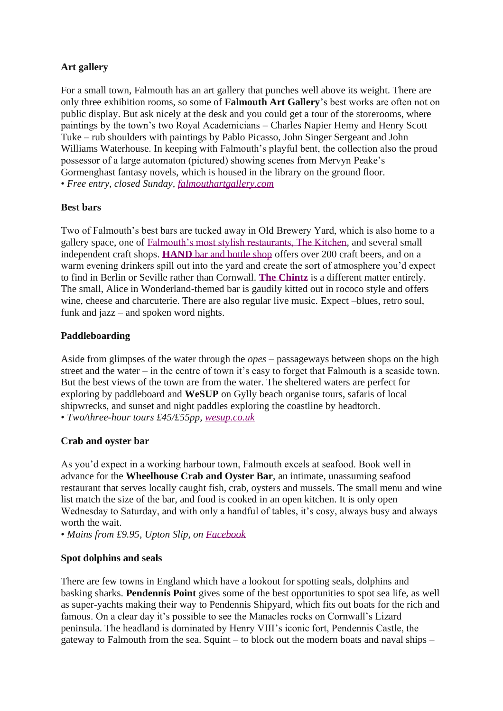# **Art gallery**

For a small town, Falmouth has an art gallery that punches well above its weight. There are only three exhibition rooms, so some of **Falmouth Art Gallery**'s best works are often not on public display. But ask nicely at the desk and you could get a tour of the storerooms, where paintings by the town's two Royal Academicians – Charles Napier Hemy and Henry Scott Tuke – rub shoulders with paintings by Pablo Picasso, John Singer Sergeant and John Williams Waterhouse. In keeping with Falmouth's playful bent, the collection also the proud possessor of a large automaton (pictured) showing scenes from Mervyn Peake's Gormenghast fantasy novels, which is housed in the library on the ground floor. • *Free entry, closed Sunday, [falmouthartgallery.com](http://www.falmouthartgallery.com/Gallery/Home)*

### **Best bars**

Two of Falmouth's best bars are tucked away in Old Brewery Yard, which is also home to a gallery space, one of [Falmouth's most stylish restaurants, The Kitchen,](https://www.theguardian.com/lifeandstyle/2018/jul/27/grace-dent-the-kitchen-falmouth-restaurant-review) and several small independent craft shops. **[HAND](https://www.facebook.com/HandBeerBarUK/)** [bar and bottle shop](https://www.facebook.com/HandBeerBarUK/) offers over 200 craft beers, and on a warm evening drinkers spill out into the yard and create the sort of atmosphere you'd expect to find in Berlin or Seville rather than Cornwall. **[The Chintz](https://www.thechintzbar.com/)** is a different matter entirely. The small, Alice in Wonderland-themed bar is gaudily kitted out in rococo style and offers wine, cheese and charcuterie. There are also regular live music. Expect –blues, retro soul, funk and jazz – and spoken word nights.

# **Paddleboarding**

Aside from glimpses of the water through the *opes* – passageways between shops on the high street and the water – in the centre of town it's easy to forget that Falmouth is a seaside town. But the best views of the town are from the water. The sheltered waters are perfect for exploring by paddleboard and **WeSUP** on Gylly beach organise tours, safaris of local shipwrecks, and sunset and night paddles exploring the coastline by headtorch. • *Two/three-hour tours £45/£55pp, [wesup.co.uk](https://wesup.co.uk/)*

### **Crab and oyster bar**

As you'd expect in a working harbour town, Falmouth excels at seafood. Book well in advance for the **Wheelhouse Crab and Oyster Bar**, an intimate, unassuming seafood restaurant that serves locally caught fish, crab, oysters and mussels. The small menu and wine list match the size of the bar, and food is cooked in an open kitchen. It is only open Wednesday to Saturday, and with only a handful of tables, it's cosy, always busy and always worth the wait.

• *Mains from £9.95*, *Upton Slip, on [Facebook](https://www.facebook.com/TheWheelhouseFal/)*

### **Spot dolphins and seals**

There are few towns in England which have a lookout for spotting seals, dolphins and basking sharks. **Pendennis Point** gives some of the best opportunities to spot sea life, as well as super-yachts making their way to Pendennis Shipyard, which fits out boats for the rich and famous. On a clear day it's possible to see the Manacles rocks on Cornwall's Lizard peninsula. The headland is dominated by Henry VIII's iconic fort, Pendennis Castle, the gateway to Falmouth from the sea. Squint – to block out the modern boats and naval ships –